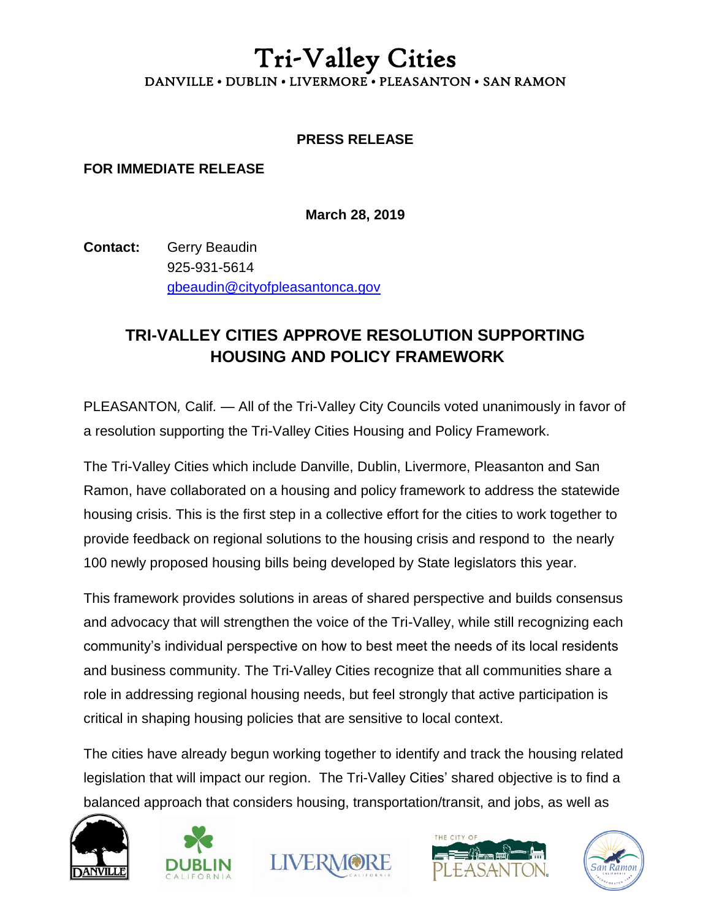## Tri-Valley Cities DANVILLE • DUBLIN • LIVERMORE • PLEASANTON • SAN RAMON

## **PRESS RELEASE**

## **FOR IMMEDIATE RELEASE**

**March 28, 2019**

**Contact:** Gerry Beaudin 925-931-5614 gbeaudin@cityofpleasantonca.gov

## **TRI-VALLEY CITIES APPROVE RESOLUTION SUPPORTING HOUSING AND POLICY FRAMEWORK**

PLEASANTON*,* Calif*.* — All of the Tri-Valley City Councils voted unanimously in favor of a resolution supporting the Tri-Valley Cities Housing and Policy Framework.

The Tri-Valley Cities which include Danville, Dublin, Livermore, Pleasanton and San Ramon, have collaborated on a housing and policy framework to address the statewide housing crisis. This is the first step in a collective effort for the cities to work together to provide feedback on regional solutions to the housing crisis and respond to the nearly 100 newly proposed housing bills being developed by State legislators this year.

This framework provides solutions in areas of shared perspective and builds consensus and advocacy that will strengthen the voice of the Tri-Valley, while still recognizing each community's individual perspective on how to best meet the needs of its local residents and business community. The Tri-Valley Cities recognize that all communities share a role in addressing regional housing needs, but feel strongly that active participation is critical in shaping housing policies that are sensitive to local context.

The cities have already begun working together to identify and track the housing related legislation that will impact our region. The Tri-Valley Cities' shared objective is to find a balanced approach that considers housing, transportation/transit, and jobs, as well as